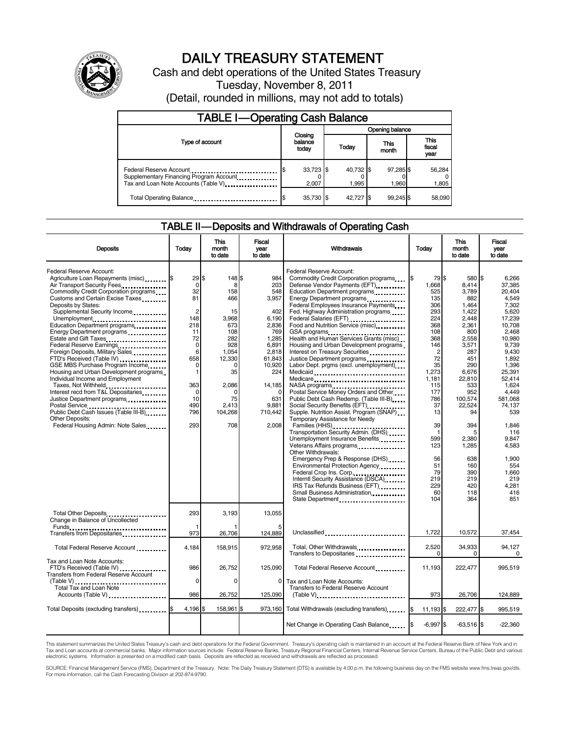

# DAILY TREASURY STATEMENT

Cash and debt operations of the United States Treasury Tuesday, November 8, 2011

(Detail, rounded in millions, may not add to totals)

| <b>TABLE I-Operating Cash Balance</b>                                                                      |  |                             |                 |                    |               |                    |                               |                 |
|------------------------------------------------------------------------------------------------------------|--|-----------------------------|-----------------|--------------------|---------------|--------------------|-------------------------------|-----------------|
|                                                                                                            |  |                             | Opening balance |                    |               |                    |                               |                 |
| Type of account                                                                                            |  | Closing<br>balance<br>today |                 | Today              | This<br>month |                    | <b>This</b><br>fiscal<br>year |                 |
| Federal Reserve Account<br>Supplementary Financing Program Account<br>Tax and Loan Note Accounts (Table V) |  | 33,723 \$<br>2.007          |                 | 40.732 \$<br>1.995 |               | 97,285 \$<br>1.960 |                               | 56,284<br>1,805 |
| Total Operating Balance                                                                                    |  | 35,730 \$                   |                 | 42.727 \$          |               | 99.245 \$          |                               | 58,090          |

### TABLE II — Deposits and Withdrawals of Operating Cash

| <b>Deposits</b>                                                                                                                                                                                                                                                                                                                                                                                                                                                                                                                                                                                                                                                                                                                                                                                                    | Today                                                                                                                                              | <b>This</b><br>month<br>to date                                                                                                                          | Fiscal<br>vear<br>to date                                                                                                                                                  | Withdrawals                                                                                                                                                                                                                                                                                                                                                                                                                                                                                                                                                                                                                                                                                                                                                                                                                                                                                                                                                                                                                                                                                                     | Today                                                                                                                                                                                                                                 | <b>This</b><br>month<br>to date                                                                                                                                                                                                                              | Fiscal<br>vear<br>to date                                                                                                                                                                                                                                                                  |
|--------------------------------------------------------------------------------------------------------------------------------------------------------------------------------------------------------------------------------------------------------------------------------------------------------------------------------------------------------------------------------------------------------------------------------------------------------------------------------------------------------------------------------------------------------------------------------------------------------------------------------------------------------------------------------------------------------------------------------------------------------------------------------------------------------------------|----------------------------------------------------------------------------------------------------------------------------------------------------|----------------------------------------------------------------------------------------------------------------------------------------------------------|----------------------------------------------------------------------------------------------------------------------------------------------------------------------------|-----------------------------------------------------------------------------------------------------------------------------------------------------------------------------------------------------------------------------------------------------------------------------------------------------------------------------------------------------------------------------------------------------------------------------------------------------------------------------------------------------------------------------------------------------------------------------------------------------------------------------------------------------------------------------------------------------------------------------------------------------------------------------------------------------------------------------------------------------------------------------------------------------------------------------------------------------------------------------------------------------------------------------------------------------------------------------------------------------------------|---------------------------------------------------------------------------------------------------------------------------------------------------------------------------------------------------------------------------------------|--------------------------------------------------------------------------------------------------------------------------------------------------------------------------------------------------------------------------------------------------------------|--------------------------------------------------------------------------------------------------------------------------------------------------------------------------------------------------------------------------------------------------------------------------------------------|
| Federal Reserve Account:<br>Agriculture Loan Repayments (misc) \$<br>Air Transport Security Fees<br>Commodity Credit Corporation programs<br>Customs and Certain Excise Taxes<br>Deposits by States:<br>Supplemental Security Income<br>Unemployment<br>Education Department programs<br>Energy Department programs<br>Estate and Gift Taxes<br>Federal Reserve Earnings.<br>Foreign Deposits, Military Sales<br>FTD's Received (Table IV)<br>GSE MBS Purchase Program Income<br>Housing and Urban Development programs.<br>Individual Income and Employment<br>Taxes, Not Withheld<br>Interest recd from T&L Depositaries<br>Justice Department programs<br>Postal Service<br>Public Debt Cash Issues (Table III-B)<br>The Library of Table III-B)<br><b>Other Deposits:</b><br>Federal Housing Admin: Note Sales | 29<br>0<br>32<br>81<br>$\overline{2}$<br>148<br>218<br>11<br>72<br>$\mathbf 0$<br>6<br>658<br>$\Omega$<br>1<br>363<br>0<br>10<br>490<br>796<br>293 | \$.<br>148 \$<br>8<br>158<br>466<br>15<br>3,968<br>673<br>108<br>282<br>928<br>1.054<br>12,330<br>0<br>35<br>2.086<br>0<br>75<br>2,413<br>104,268<br>708 | 984<br>203<br>548<br>3,957<br>402<br>6,190<br>2,836<br>769<br>1,285<br>6.891<br>2.818<br>61,843<br>10,920<br>224<br>14,185<br>$\Omega$<br>631<br>9,881<br>710,442<br>2.008 | Federal Reserve Account:<br>Commodity Credit Corporation programs<br>Defense Vendor Payments (EFT)<br>Education Department programs<br>Energy Department programs<br>Federal Employees Insurance Payments<br>Fed. Highway Administration programs<br>Federal Salaries (EFT)<br>Food and Nutrition Service (misc).<br>GSA programs<br>Health and Human Services Grants (misc)<br>Housing and Urban Development programs<br>Interest on Treasury Securities<br>Justice Department programs<br>Labor Dept. prgms (excl. unemployment)<br>Medicaid<br>Medicare<br>Postal Service Money Orders and Other<br>Public Debt Cash Redemp. (Table III-B)<br>Social Security Benefits (EFT)<br>Supple. Nutrition Assist. Program (SNAP)<br>Temporary Assistance for Needy<br>Families (HHS)<br>Transportation Security Admin. (DHS)<br>Unemployment Insurance Benefits<br>Other Withdrawals:<br>Emergency Prep & Response (DHS)<br>Environmental Protection Agency<br>Federal Crop Ins. Corp.<br>Interntl Security Assistance (DSCA)<br>IRS Tax Refunds Business (EFT)<br>Small Business Administration<br>State Department | 79 \$<br>1,668<br>525<br>135<br>306<br>293<br>224<br>368<br>108<br>368<br>146<br>$\overline{c}$<br>72<br>35<br>1,273<br>1.181<br>115<br>177<br>786<br>37<br>13<br>39<br>-1<br>599<br>123<br>56<br>51<br>79<br>219<br>229<br>60<br>104 | 580 \$<br>8,414<br>3,789<br>882<br>1,464<br>1,422<br>2,448<br>2,361<br>800<br>2,558<br>3,571<br>287<br>451<br>290<br>6,676<br>22,810<br>533<br>952<br>100,574<br>22,524<br>94<br>394<br>5<br>2,380<br>1,285<br>638<br>160<br>390<br>219<br>420<br>118<br>364 | 6.266<br>37,385<br>20.404<br>4.549<br>7.302<br>5,620<br>17,239<br>10.708<br>2.468<br>10.980<br>9.739<br>9.430<br>1,892<br>1,396<br>25,391<br>52.414<br>1.624<br>4,449<br>581,068<br>74.137<br>539<br>1.846<br>116<br>9,847<br>4,583<br>1,900<br>554<br>1,660<br>219<br>4,281<br>416<br>851 |
| Total Other Deposits<br>Change in Balance of Uncollected                                                                                                                                                                                                                                                                                                                                                                                                                                                                                                                                                                                                                                                                                                                                                           | 293                                                                                                                                                | 3,193                                                                                                                                                    | 13,055                                                                                                                                                                     |                                                                                                                                                                                                                                                                                                                                                                                                                                                                                                                                                                                                                                                                                                                                                                                                                                                                                                                                                                                                                                                                                                                 |                                                                                                                                                                                                                                       |                                                                                                                                                                                                                                                              |                                                                                                                                                                                                                                                                                            |
| Transfers from Depositaries <b>Transfers</b><br>Total Federal Reserve Account                                                                                                                                                                                                                                                                                                                                                                                                                                                                                                                                                                                                                                                                                                                                      | 973<br>4,184                                                                                                                                       | 26.706<br>158,915                                                                                                                                        | 124.889<br>972,958                                                                                                                                                         | Unclassified<br>Total, Other Withdrawals                                                                                                                                                                                                                                                                                                                                                                                                                                                                                                                                                                                                                                                                                                                                                                                                                                                                                                                                                                                                                                                                        | 1,722<br>2,520                                                                                                                                                                                                                        | 10,572<br>34,933                                                                                                                                                                                                                                             | 37,454<br>94,127                                                                                                                                                                                                                                                                           |
| Tax and Loan Note Accounts:                                                                                                                                                                                                                                                                                                                                                                                                                                                                                                                                                                                                                                                                                                                                                                                        |                                                                                                                                                    |                                                                                                                                                          |                                                                                                                                                                            |                                                                                                                                                                                                                                                                                                                                                                                                                                                                                                                                                                                                                                                                                                                                                                                                                                                                                                                                                                                                                                                                                                                 | $\Omega$                                                                                                                                                                                                                              | $\Omega$                                                                                                                                                                                                                                                     | $\mathbf 0$                                                                                                                                                                                                                                                                                |
| FTD's Received (Table IV)<br><b>Transfers from Federal Reserve Account</b>                                                                                                                                                                                                                                                                                                                                                                                                                                                                                                                                                                                                                                                                                                                                         | 986<br>$\mathbf 0$                                                                                                                                 | 26.752<br>$\Omega$                                                                                                                                       | 125,090<br>0                                                                                                                                                               | Total Federal Reserve Account<br>Tax and Loan Note Accounts:                                                                                                                                                                                                                                                                                                                                                                                                                                                                                                                                                                                                                                                                                                                                                                                                                                                                                                                                                                                                                                                    | 11,193                                                                                                                                                                                                                                | 222,477                                                                                                                                                                                                                                                      | 995.519                                                                                                                                                                                                                                                                                    |
| (Table V)<br>Total Tax and Loan Note<br>Accounts (Table V)                                                                                                                                                                                                                                                                                                                                                                                                                                                                                                                                                                                                                                                                                                                                                         | 986                                                                                                                                                | 26,752                                                                                                                                                   | 125,090                                                                                                                                                                    | Transfers to Federal Reserve Account<br>$(Table V)$                                                                                                                                                                                                                                                                                                                                                                                                                                                                                                                                                                                                                                                                                                                                                                                                                                                                                                                                                                                                                                                             | 973                                                                                                                                                                                                                                   | 26,706                                                                                                                                                                                                                                                       | 124,889                                                                                                                                                                                                                                                                                    |
| Total Deposits (excluding transfers) <b>S</b>                                                                                                                                                                                                                                                                                                                                                                                                                                                                                                                                                                                                                                                                                                                                                                      | 4,196 \$                                                                                                                                           | 158,961 \$                                                                                                                                               |                                                                                                                                                                            | 973,160 Total Withdrawals (excluding transfers)                                                                                                                                                                                                                                                                                                                                                                                                                                                                                                                                                                                                                                                                                                                                                                                                                                                                                                                                                                                                                                                                 | 11,193 \$                                                                                                                                                                                                                             | 222,477 \$                                                                                                                                                                                                                                                   | 995,519                                                                                                                                                                                                                                                                                    |
|                                                                                                                                                                                                                                                                                                                                                                                                                                                                                                                                                                                                                                                                                                                                                                                                                    |                                                                                                                                                    |                                                                                                                                                          |                                                                                                                                                                            | Net Change in Operating Cash Balance                                                                                                                                                                                                                                                                                                                                                                                                                                                                                                                                                                                                                                                                                                                                                                                                                                                                                                                                                                                                                                                                            | $-6,997$ \$                                                                                                                                                                                                                           | $-63,516$ \$                                                                                                                                                                                                                                                 | $-22,360$                                                                                                                                                                                                                                                                                  |

This statement summarizes the United States Treasury's cash and debt operations for the Federal Government. Treasury's operating cash is maintained in an account at the Federal Reserve Bank of New York and in<br>Tax and Loan

SOURCE: Financial Management Service (FMS), Department of the Treasury. Note: The Daily Treasury Statement (DTS) is available by 4:00 p.m. the following business day on the FMS website www.fms.treas.gov/dts.<br>For more infor